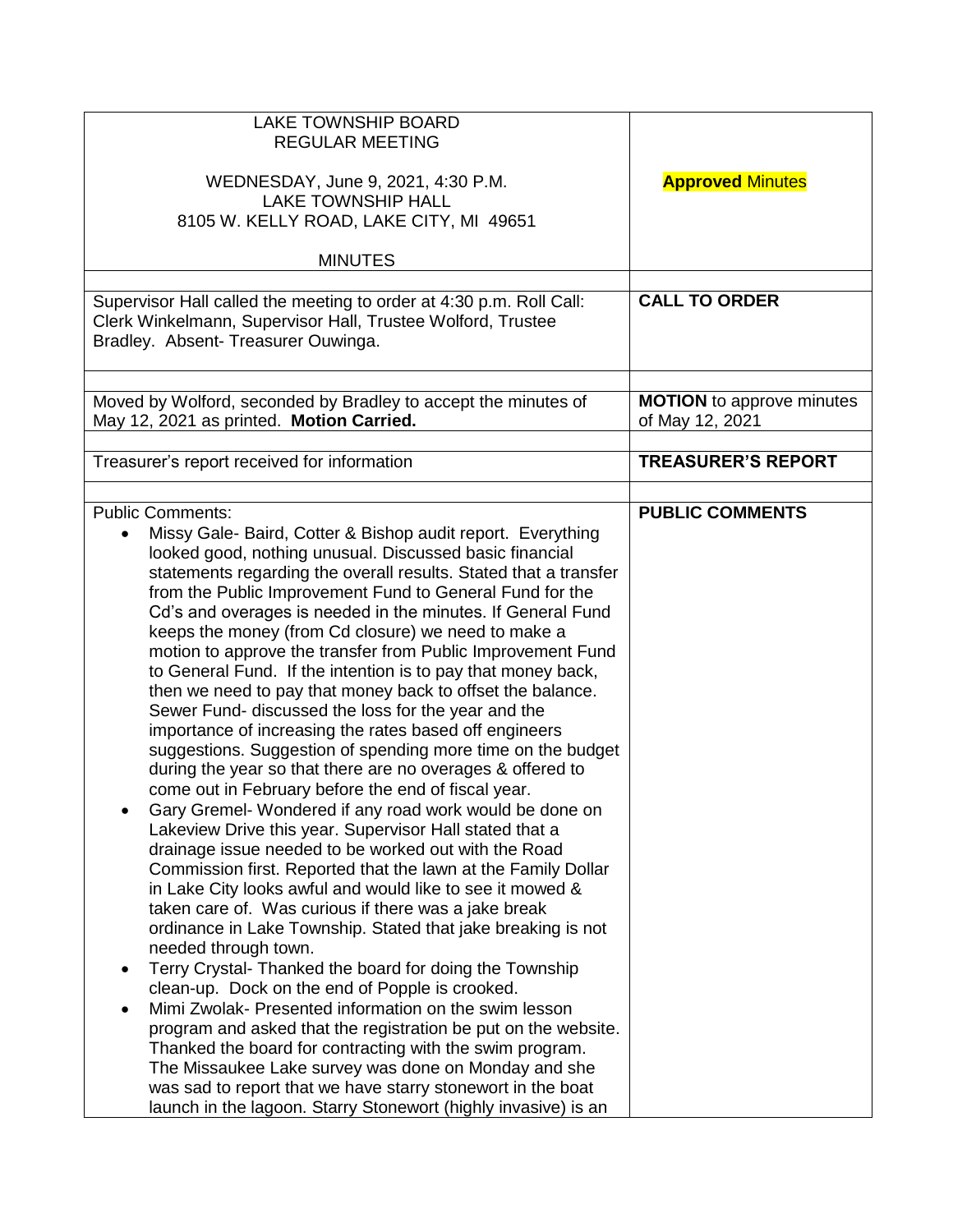| <b>LAKE TOWNSHIP BOARD</b><br><b>REGULAR MEETING</b><br>WEDNESDAY, June 9, 2021, 4:30 P.M.<br><b>LAKE TOWNSHIP HALL</b><br>8105 W. KELLY ROAD, LAKE CITY, MI 49651<br><b>MINUTES</b>                                                                                                                                                                                                                                                                                                                                                                                                                                                                                                                                                                                                                                                                                                                                                                                                                                                                                                                                                                                                                                                                                                                                                                                                                                                                                                                                                                                                                                                                                                                                                                                                                                                                                             | <b>Approved Minutes</b>                             |
|----------------------------------------------------------------------------------------------------------------------------------------------------------------------------------------------------------------------------------------------------------------------------------------------------------------------------------------------------------------------------------------------------------------------------------------------------------------------------------------------------------------------------------------------------------------------------------------------------------------------------------------------------------------------------------------------------------------------------------------------------------------------------------------------------------------------------------------------------------------------------------------------------------------------------------------------------------------------------------------------------------------------------------------------------------------------------------------------------------------------------------------------------------------------------------------------------------------------------------------------------------------------------------------------------------------------------------------------------------------------------------------------------------------------------------------------------------------------------------------------------------------------------------------------------------------------------------------------------------------------------------------------------------------------------------------------------------------------------------------------------------------------------------------------------------------------------------------------------------------------------------|-----------------------------------------------------|
| Supervisor Hall called the meeting to order at 4:30 p.m. Roll Call:<br>Clerk Winkelmann, Supervisor Hall, Trustee Wolford, Trustee<br>Bradley. Absent- Treasurer Ouwinga.                                                                                                                                                                                                                                                                                                                                                                                                                                                                                                                                                                                                                                                                                                                                                                                                                                                                                                                                                                                                                                                                                                                                                                                                                                                                                                                                                                                                                                                                                                                                                                                                                                                                                                        | <b>CALL TO ORDER</b>                                |
| Moved by Wolford, seconded by Bradley to accept the minutes of<br>May 12, 2021 as printed. Motion Carried.                                                                                                                                                                                                                                                                                                                                                                                                                                                                                                                                                                                                                                                                                                                                                                                                                                                                                                                                                                                                                                                                                                                                                                                                                                                                                                                                                                                                                                                                                                                                                                                                                                                                                                                                                                       | <b>MOTION</b> to approve minutes<br>of May 12, 2021 |
| Treasurer's report received for information                                                                                                                                                                                                                                                                                                                                                                                                                                                                                                                                                                                                                                                                                                                                                                                                                                                                                                                                                                                                                                                                                                                                                                                                                                                                                                                                                                                                                                                                                                                                                                                                                                                                                                                                                                                                                                      | <b>TREASURER'S REPORT</b>                           |
| <b>Public Comments:</b><br>Missy Gale- Baird, Cotter & Bishop audit report. Everything<br>$\bullet$<br>looked good, nothing unusual. Discussed basic financial<br>statements regarding the overall results. Stated that a transfer<br>from the Public Improvement Fund to General Fund for the<br>Cd's and overages is needed in the minutes. If General Fund<br>keeps the money (from Cd closure) we need to make a<br>motion to approve the transfer from Public Improvement Fund<br>to General Fund. If the intention is to pay that money back,<br>then we need to pay that money back to offset the balance.<br>Sewer Fund- discussed the loss for the year and the<br>importance of increasing the rates based off engineers<br>suggestions. Suggestion of spending more time on the budget<br>during the year so that there are no overages & offered to<br>come out in February before the end of fiscal year.<br>Gary Gremel- Wondered if any road work would be done on<br>Lakeview Drive this year. Supervisor Hall stated that a<br>drainage issue needed to be worked out with the Road<br>Commission first. Reported that the lawn at the Family Dollar<br>in Lake City looks awful and would like to see it mowed &<br>taken care of. Was curious if there was a jake break<br>ordinance in Lake Township. Stated that jake breaking is not<br>needed through town.<br>Terry Crystal- Thanked the board for doing the Township<br>clean-up. Dock on the end of Popple is crooked.<br>Mimi Zwolak- Presented information on the swim lesson<br>program and asked that the registration be put on the website.<br>Thanked the board for contracting with the swim program.<br>The Missaukee Lake survey was done on Monday and she<br>was sad to report that we have starry stonewort in the boat<br>launch in the lagoon. Starry Stonewort (highly invasive) is an | <b>PUBLIC COMMENTS</b>                              |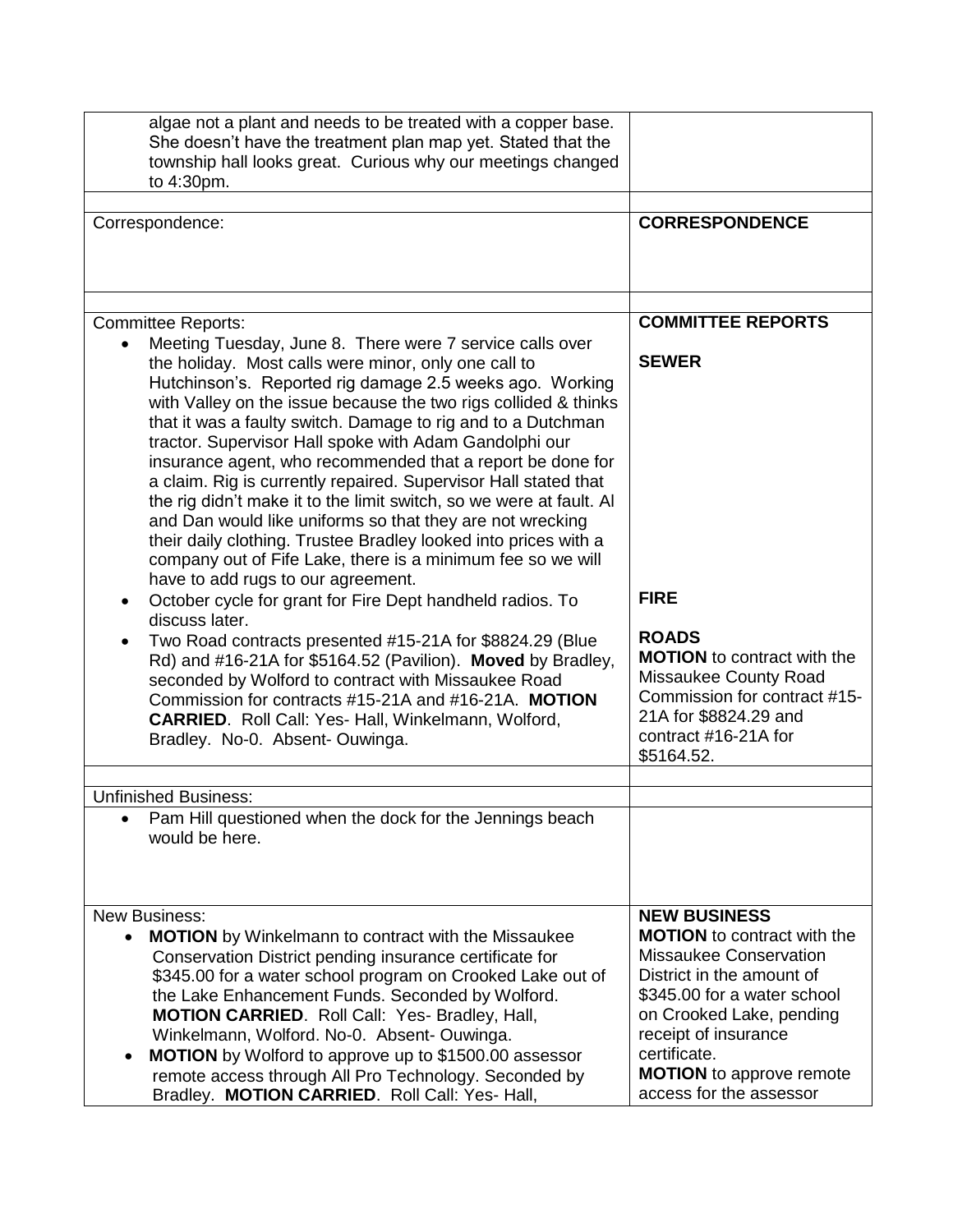| algae not a plant and needs to be treated with a copper base.<br>She doesn't have the treatment plan map yet. Stated that the<br>township hall looks great. Curious why our meetings changed<br>to 4:30pm.                                                                                                                                                                                                                                                                                                                                           |                                                                                                                                                                                                                                                            |
|------------------------------------------------------------------------------------------------------------------------------------------------------------------------------------------------------------------------------------------------------------------------------------------------------------------------------------------------------------------------------------------------------------------------------------------------------------------------------------------------------------------------------------------------------|------------------------------------------------------------------------------------------------------------------------------------------------------------------------------------------------------------------------------------------------------------|
| Correspondence:                                                                                                                                                                                                                                                                                                                                                                                                                                                                                                                                      | <b>CORRESPONDENCE</b>                                                                                                                                                                                                                                      |
|                                                                                                                                                                                                                                                                                                                                                                                                                                                                                                                                                      |                                                                                                                                                                                                                                                            |
| <b>Committee Reports:</b>                                                                                                                                                                                                                                                                                                                                                                                                                                                                                                                            | <b>COMMITTEE REPORTS</b>                                                                                                                                                                                                                                   |
| Meeting Tuesday, June 8. There were 7 service calls over<br>the holiday. Most calls were minor, only one call to<br>Hutchinson's. Reported rig damage 2.5 weeks ago. Working<br>with Valley on the issue because the two rigs collided & thinks<br>that it was a faulty switch. Damage to rig and to a Dutchman<br>tractor. Supervisor Hall spoke with Adam Gandolphi our                                                                                                                                                                            | <b>SEWER</b>                                                                                                                                                                                                                                               |
| insurance agent, who recommended that a report be done for<br>a claim. Rig is currently repaired. Supervisor Hall stated that<br>the rig didn't make it to the limit switch, so we were at fault. Al<br>and Dan would like uniforms so that they are not wrecking<br>their daily clothing. Trustee Bradley looked into prices with a<br>company out of Fife Lake, there is a minimum fee so we will<br>have to add rugs to our agreement.                                                                                                            |                                                                                                                                                                                                                                                            |
| October cycle for grant for Fire Dept handheld radios. To<br>discuss later.                                                                                                                                                                                                                                                                                                                                                                                                                                                                          | <b>FIRE</b>                                                                                                                                                                                                                                                |
| Two Road contracts presented #15-21A for \$8824.29 (Blue<br>Rd) and #16-21A for \$5164.52 (Pavilion). Moved by Bradley,<br>seconded by Wolford to contract with Missaukee Road<br>Commission for contracts #15-21A and #16-21A. MOTION<br>CARRIED. Roll Call: Yes- Hall, Winkelmann, Wolford,<br>Bradley. No-0. Absent-Ouwinga.                                                                                                                                                                                                                      | <b>ROADS</b><br><b>MOTION</b> to contract with the<br>Missaukee County Road<br>Commission for contract #15-<br>21A for \$8824.29 and<br>contract $#16-21A$ for<br>\$5164.52.                                                                               |
| <b>Unfinished Business:</b>                                                                                                                                                                                                                                                                                                                                                                                                                                                                                                                          |                                                                                                                                                                                                                                                            |
| Pam Hill questioned when the dock for the Jennings beach<br>would be here.                                                                                                                                                                                                                                                                                                                                                                                                                                                                           |                                                                                                                                                                                                                                                            |
| <b>New Business:</b>                                                                                                                                                                                                                                                                                                                                                                                                                                                                                                                                 | <b>NEW BUSINESS</b>                                                                                                                                                                                                                                        |
| <b>MOTION</b> by Winkelmann to contract with the Missaukee<br>$\bullet$<br>Conservation District pending insurance certificate for<br>\$345.00 for a water school program on Crooked Lake out of<br>the Lake Enhancement Funds. Seconded by Wolford.<br><b>MOTION CARRIED.</b> Roll Call: Yes- Bradley, Hall,<br>Winkelmann, Wolford. No-0. Absent- Ouwinga.<br><b>MOTION</b> by Wolford to approve up to \$1500.00 assessor<br>$\bullet$<br>remote access through All Pro Technology. Seconded by<br>Bradley. MOTION CARRIED. Roll Call: Yes- Hall, | <b>MOTION</b> to contract with the<br>Missaukee Conservation<br>District in the amount of<br>\$345.00 for a water school<br>on Crooked Lake, pending<br>receipt of insurance<br>certificate.<br><b>MOTION</b> to approve remote<br>access for the assessor |